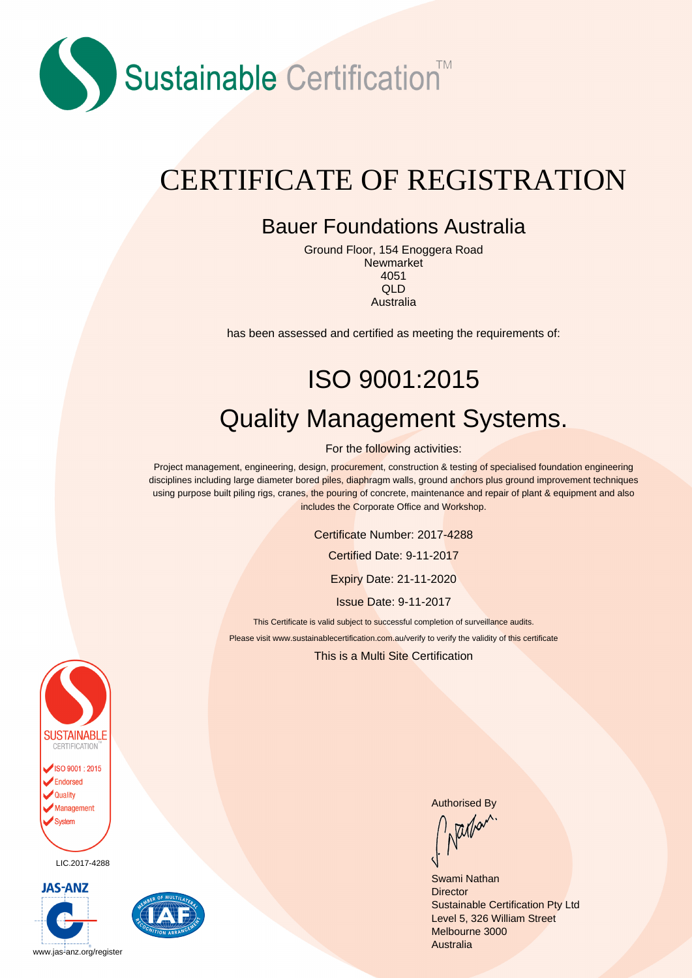

### CERTIFICATE OF REGISTRATION

#### Bauer Foundations Australia

Ground Floor, 154 Enoggera Road Newmarket 4051 QLD Australia

has been assessed and certified as meeting the requirements of:

# ISO 9001:2015 Quality Management Systems.

For the following activities:

Project management, engineering, design, procurement, construction & testing of specialised foundation engineering disciplines including large diameter bored piles, diaphragm walls, ground anchors plus ground improvement techniques using purpose built piling rigs, cranes, the pouring of concrete, maintenance and repair of plant & equipment and also includes the Corporate Office and Workshop.

Certificate Number: 2017-4288

Certified Date: 9-11-2017

Expiry Date: 21-11-2020

Issue Date: 9-11-2017

This Certificate is valid subject to successful completion of surveillance audits. Please visit www.sustainablecertification.com.au/verify to verify the validity of this certificate

This is a Multi Site Certification



LIC.2017-4288





Authorised By<br>
Mallet

Swami Nathan **Director** Sustainable Certification Pty Ltd Level 5, 326 William Street Melbourne 3000 **Australia**